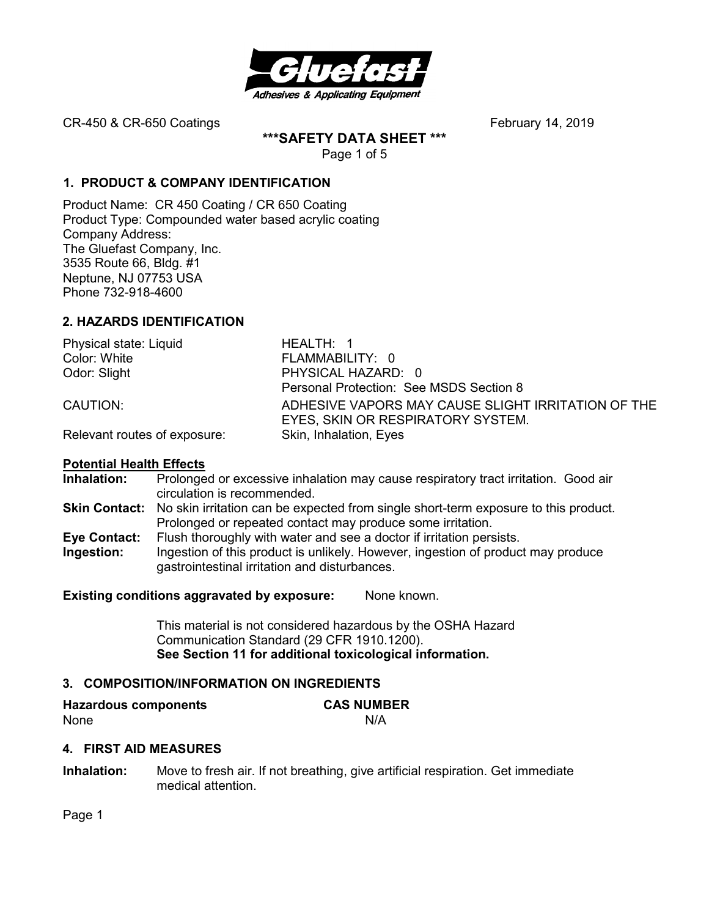

**\*\*\*SAFETY DATA SHEET \*\*\*** 

Page 1 of 5

# **1. PRODUCT & COMPANY IDENTIFICATION**

Product Name: CR 450 Coating / CR 650 Coating Product Type: Compounded water based acrylic coating Company Address: The Gluefast Company, Inc. 3535 Route 66, Bldg. #1 Neptune, NJ 07753 USA Phone 732-918-4600

# **2. HAZARDS IDENTIFICATION**

| Physical state: Liquid       | HEALTH: 1                                          |  |
|------------------------------|----------------------------------------------------|--|
| Color: White                 | FLAMMABILITY: 0                                    |  |
| Odor: Slight                 | PHYSICAL HAZARD: 0                                 |  |
|                              | Personal Protection: See MSDS Section 8            |  |
| CAUTION:                     | ADHESIVE VAPORS MAY CAUSE SLIGHT IRRITATION OF THE |  |
|                              | EYES, SKIN OR RESPIRATORY SYSTEM.                  |  |
| Relevant routes of exposure: | Skin, Inhalation, Eyes                             |  |

# **Potential Health Effects**

**Inhalation:** Prolonged or excessive inhalation may cause respiratory tract irritation. Good air circulation is recommended. **Skin Contact:** No skin irritation can be expected from single short-term exposure to this product. Prolonged or repeated contact may produce some irritation. **Eye Contact:** Flush thoroughly with water and see a doctor if irritation persists. **Ingestion:** Ingestion of this product is unlikely. However, ingestion of product may produce gastrointestinal irritation and disturbances.

**Existing conditions aggravated by exposure:** None known.

This material is not considered hazardous by the OSHA Hazard Communication Standard (29 CFR 1910.1200). **See Section 11 for additional toxicological information.** 

# **3. COMPOSITION/INFORMATION ON INGREDIENTS**

| <b>Hazardous components</b> | <b>CAS NUMBER</b> |
|-----------------------------|-------------------|
| None                        | N/A               |

# **4. FIRST AID MEASURES**

**Inhalation:** Move to fresh air. If not breathing, give artificial respiration. Get immediate medical attention.

Page 1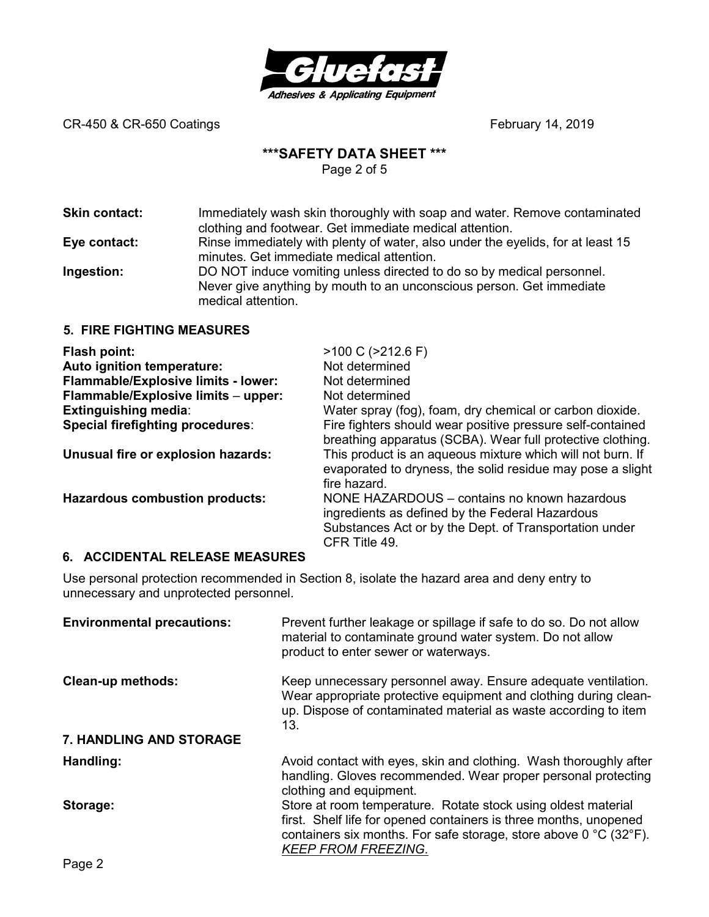

# **\*\*\*SAFETY DATA SHEET \*\*\***

Page 2 of 5

**Skin contact:** Immediately wash skin thoroughly with soap and water. Remove contaminated clothing and footwear. Get immediate medical attention. **Eye contact:** Rinse immediately with plenty of water, also under the eyelids, for at least 15 minutes. Get immediate medical attention. **Ingestion:** DO NOT induce vomiting unless directed to do so by medical personnel.

Never give anything by mouth to an unconscious person. Get immediate medical attention.

## **5. FIRE FIGHTING MEASURES**

| Flash point:                               | $>100$ C ( $>212.6$ F)                                                                                                                                                     |
|--------------------------------------------|----------------------------------------------------------------------------------------------------------------------------------------------------------------------------|
| Auto ignition temperature:                 | Not determined                                                                                                                                                             |
| <b>Flammable/Explosive limits - lower:</b> | Not determined                                                                                                                                                             |
| Flammable/Explosive limits - upper:        | Not determined                                                                                                                                                             |
| <b>Extinguishing media:</b>                | Water spray (fog), foam, dry chemical or carbon dioxide.                                                                                                                   |
| Special firefighting procedures:           | Fire fighters should wear positive pressure self-contained<br>breathing apparatus (SCBA). Wear full protective clothing.                                                   |
| Unusual fire or explosion hazards:         | This product is an aqueous mixture which will not burn. If<br>evaporated to dryness, the solid residue may pose a slight<br>fire hazard.                                   |
| <b>Hazardous combustion products:</b>      | NONE HAZARDOUS – contains no known hazardous<br>ingredients as defined by the Federal Hazardous<br>Substances Act or by the Dept. of Transportation under<br>CFR Title 49. |

### **6. ACCIDENTAL RELEASE MEASURES**

Use personal protection recommended in Section 8, isolate the hazard area and deny entry to unnecessary and unprotected personnel.

| <b>Environmental precautions:</b> | Prevent further leakage or spillage if safe to do so. Do not allow<br>material to contaminate ground water system. Do not allow<br>product to enter sewer or waterways.                                                                                   |
|-----------------------------------|-----------------------------------------------------------------------------------------------------------------------------------------------------------------------------------------------------------------------------------------------------------|
| <b>Clean-up methods:</b>          | Keep unnecessary personnel away. Ensure adequate ventilation.<br>Wear appropriate protective equipment and clothing during clean-<br>up. Dispose of contaminated material as waste according to item<br>13.                                               |
| 7. HANDLING AND STORAGE           |                                                                                                                                                                                                                                                           |
| Handling:                         | Avoid contact with eyes, skin and clothing. Wash thoroughly after<br>handling. Gloves recommended. Wear proper personal protecting<br>clothing and equipment.                                                                                             |
| Storage:                          | Store at room temperature. Rotate stock using oldest material<br>first. Shelf life for opened containers is three months, unopened<br>containers six months. For safe storage, store above $0^{\circ}$ C (32 $^{\circ}$ F).<br><b>KEEP FROM FREEZING.</b> |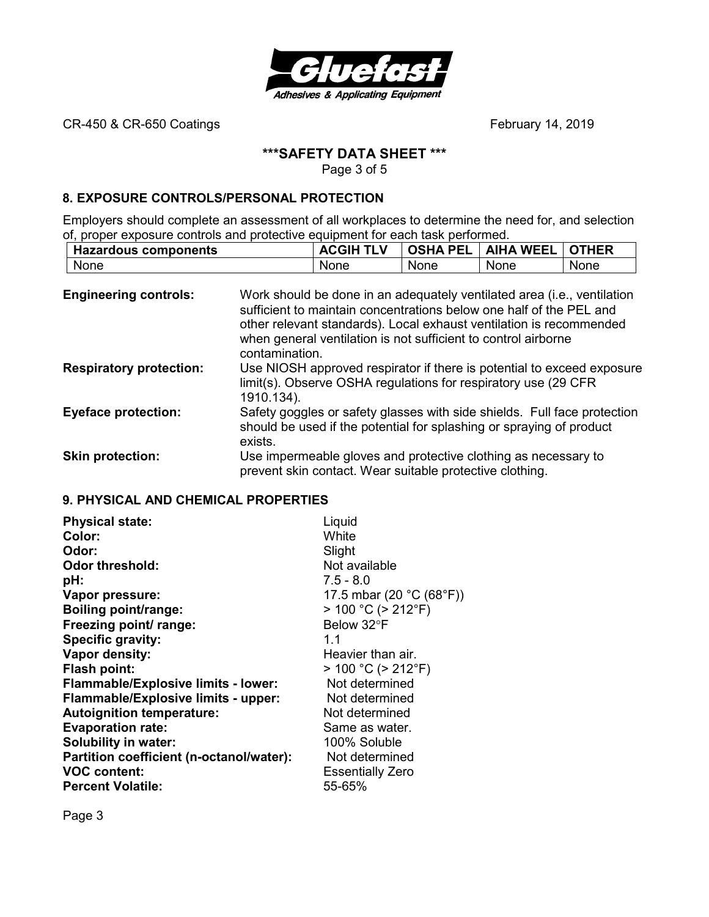

# **\*\*\*SAFETY DATA SHEET \*\*\***

Page 3 of 5

## **8. EXPOSURE CONTROLS/PERSONAL PROTECTION**

Employers should complete an assessment of all workplaces to determine the need for, and selection of, proper exposure controls and protective equipment for each task performed.

| <b>Hazardous components</b> | TI V | <b>PEL</b><br><b>OSHA</b> | <b>WEEL</b><br><b>AIHA</b> | THER |
|-----------------------------|------|---------------------------|----------------------------|------|
| None                        | None | None                      | None                       | None |

| <b>Engineering controls:</b>   | Work should be done in an adequately ventilated area (i.e., ventilation<br>sufficient to maintain concentrations below one half of the PEL and<br>other relevant standards). Local exhaust ventilation is recommended<br>when general ventilation is not sufficient to control airborne<br>contamination. |
|--------------------------------|-----------------------------------------------------------------------------------------------------------------------------------------------------------------------------------------------------------------------------------------------------------------------------------------------------------|
| <b>Respiratory protection:</b> | Use NIOSH approved respirator if there is potential to exceed exposure<br>limit(s). Observe OSHA regulations for respiratory use (29 CFR<br>1910.134).                                                                                                                                                    |
| <b>Eyeface protection:</b>     | Safety goggles or safety glasses with side shields. Full face protection<br>should be used if the potential for splashing or spraying of product<br>exists.                                                                                                                                               |
| <b>Skin protection:</b>        | Use impermeable gloves and protective clothing as necessary to<br>prevent skin contact. Wear suitable protective clothing.                                                                                                                                                                                |

## **9. PHYSICAL AND CHEMICAL PROPERTIES**

| <b>Physical state:</b>                     | Liquid                                        |
|--------------------------------------------|-----------------------------------------------|
| Color:                                     | White                                         |
| Odor:                                      | Slight                                        |
| <b>Odor threshold:</b>                     | Not available                                 |
| pH:                                        | $7.5 - 8.0$                                   |
| Vapor pressure:                            | 17.5 mbar (20 $^{\circ}$ C (68 $^{\circ}$ F)) |
| <b>Boiling point/range:</b>                | $> 100 °C$ ( $> 212 °F$ )                     |
| Freezing point/ range:                     | Below 32°F                                    |
| Specific gravity:                          | 1.1                                           |
| Vapor density:                             | Heavier than air.                             |
| Flash point:                               | $> 100 °C$ ( $> 212 °F$ )                     |
| <b>Flammable/Explosive limits - lower:</b> | Not determined                                |
| Flammable/Explosive limits - upper:        | Not determined                                |
| <b>Autoignition temperature:</b>           | Not determined                                |
| <b>Evaporation rate:</b>                   | Same as water.                                |
| <b>Solubility in water:</b>                | 100% Soluble                                  |
| Partition coefficient (n-octanol/water):   | Not determined                                |
| <b>VOC content:</b>                        | <b>Essentially Zero</b>                       |
| <b>Percent Volatile:</b>                   | 55-65%                                        |

Page 3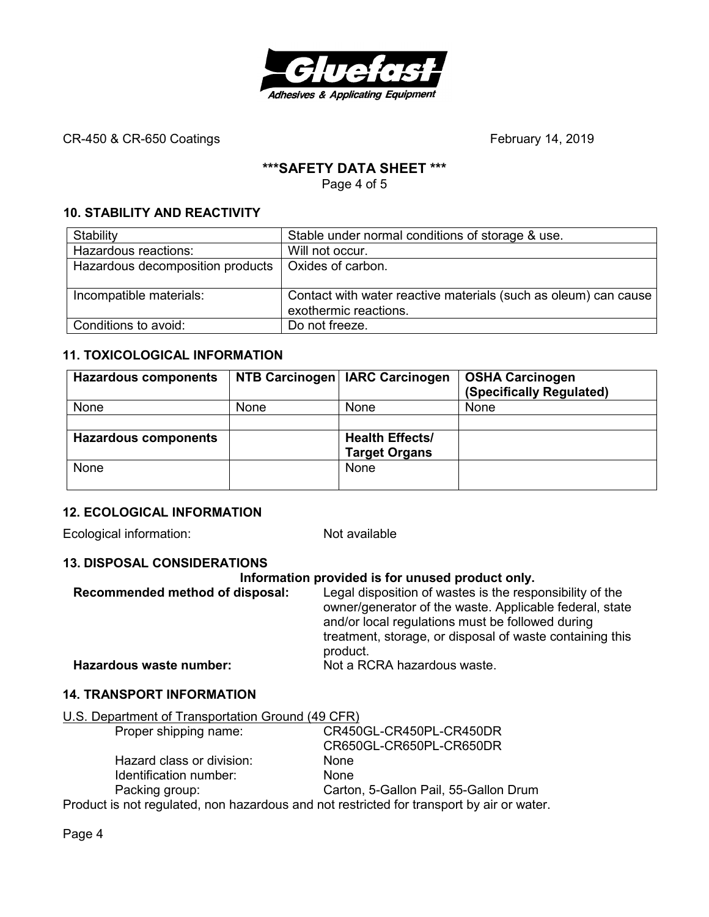

# **\*\*\*SAFETY DATA SHEET \*\*\***

Page 4 of 5

# **10. STABILITY AND REACTIVITY**

| Stability                        | Stable under normal conditions of storage & use.                                         |
|----------------------------------|------------------------------------------------------------------------------------------|
| Hazardous reactions:             | Will not occur.                                                                          |
| Hazardous decomposition products | Oxides of carbon.                                                                        |
|                                  |                                                                                          |
| Incompatible materials:          | Contact with water reactive materials (such as oleum) can cause<br>exothermic reactions. |
| Conditions to avoid:             | Do not freeze.                                                                           |

## **11. TOXICOLOGICAL INFORMATION**

| <b>Hazardous components</b> |             | NTB Carcinogen   IARC Carcinogen               | <b>OSHA Carcinogen</b><br>(Specifically Regulated) |
|-----------------------------|-------------|------------------------------------------------|----------------------------------------------------|
| None                        | <b>None</b> | None                                           | None                                               |
|                             |             |                                                |                                                    |
| <b>Hazardous components</b> |             | <b>Health Effects/</b><br><b>Target Organs</b> |                                                    |
| None                        |             | None                                           |                                                    |

# **12. ECOLOGICAL INFORMATION**

Ecological information: Not available

### **13. DISPOSAL CONSIDERATIONS**

#### **Information provided is for unused product only.**

| Recommended method of disposal: | Legal disposition of wastes is the responsibility of the<br>owner/generator of the waste. Applicable federal, state<br>and/or local regulations must be followed during<br>treatment, storage, or disposal of waste containing this<br>product. |
|---------------------------------|-------------------------------------------------------------------------------------------------------------------------------------------------------------------------------------------------------------------------------------------------|
| Hazardous waste number:         | Not a RCRA hazardous waste.                                                                                                                                                                                                                     |

### **14. TRANSPORT INFORMATION**

# U.S. Department of Transportation Ground (49 CFR)

| Proper shipping name:                                                                     | CR450GL-CR450PL-CR450DR               |
|-------------------------------------------------------------------------------------------|---------------------------------------|
|                                                                                           | CR650GL-CR650PL-CR650DR               |
| Hazard class or division:                                                                 | <b>None</b>                           |
| Identification number:                                                                    | <b>None</b>                           |
| Packing group:                                                                            | Carton, 5-Gallon Pail, 55-Gallon Drum |
| Product is not regulated, non hazardous and not restricted for transport by air or water. |                                       |

Page 4